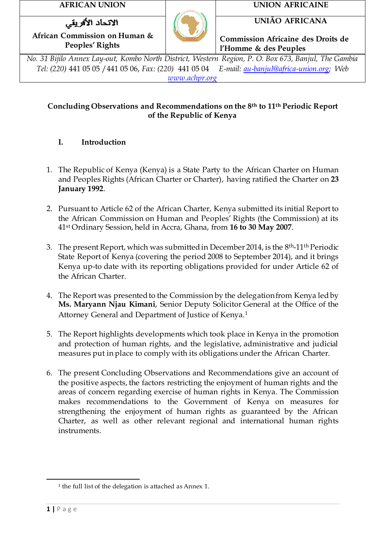الاتحاد الأفريقي

**Peoples' Rights**



**AFRICAN UNION UNION AFRICAINE**

**UNIÃO AFRICANA**

**Commission Africaine des Droits de l'Homme & des Peuples**

*No. 31 Bijilo Annex Lay-out, Kombo North District, Western Region, P. O. Box 673, Banjul, The Gambia Tel: (220)* 441 05 05 /441 05 06, *Fax: (220)* 441 05 04 *E-mail: [au-banjul@africa-union.org;](mailto:au-banjul@africa-union.org) Web [www.achpr.org](http://www.achpr.org/)*

# **Concluding Observations and Recommendations on the 8th to 11th Periodic Report of the Republic of Kenya**

# **I. Introduction**

- 1. The Republic of Kenya (Kenya) is a State Party to the African Charter on Human and Peoples Rights (African Charter or Charter), having ratified the Charter on **23 January 1992**.
- 2. Pursuant to Article 62 of the African Charter, Kenya submitted its initial Report to the African Commission on Human and Peoples' Rights (the Commission) at its 41st Ordinary Session, held in Accra, Ghana, from **16 to 30 May 2007**.
- 3. The present Report, which was submitted in December 2014, is the 8th-11th Periodic State Report of Kenya (covering the period 2008 to September 2014), and it brings Kenya up-to date with its reporting obligations provided for under Article 62 of the African Charter.
- 4. The Report was presented to the Commission by the delegation from Kenya led by **Ms. Maryann Njau Kimani**, Senior Deputy Solicitor General at the Office of the Attorney General and Department of Justice of Kenya.<sup>1</sup>
- 5. The Report highlights developments which took place in Kenya in the promotion and protection of human rights, and the legislative, administrative and judicial measures put in place to comply with its obligations under the African Charter.
- 6. The present Concluding Observations and Recommendations give an account of the positive aspects, the factors restricting the enjoyment of human rights and the areas of concern regarding exercise of human rights in Kenya. The Commission makes recommendations to the Government of Kenya on measures for strengthening the enjoyment of human rights as guaranteed by the African Charter, as well as other relevant regional and international human rights instruments.

 $\overline{a}$ 

<sup>1</sup> the full list of the delegation is attached as Annex 1.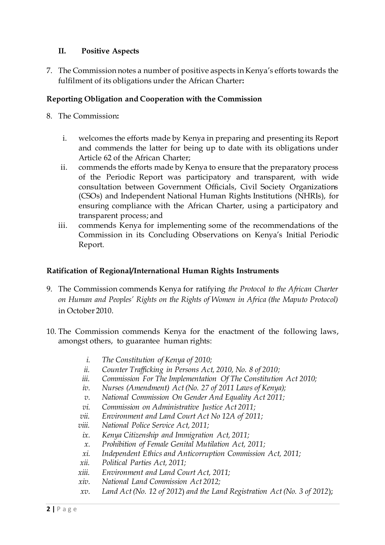# **II. Positive Aspects**

7. The Commission notes a number of positive aspects in Kenya's efforts towards the fulfilment of its obligations under the African Charter**:**

## **Reporting Obligation and Cooperation with the Commission**

- 8. The Commission**:** 
	- i. welcomes the efforts made by Kenya in preparing and presenting its Report and commends the latter for being up to date with its obligations under Article 62 of the African Charter;
	- ii. commends the efforts made by Kenya to ensure that the preparatory process of the Periodic Report was participatory and transparent, with wide consultation between Government Officials, Civil Society Organizations (CSOs) and Independent National Human Rights Institutions (NHRIs), for ensuring compliance with the African Charter, using a participatory and transparent process; and
	- iii. commends Kenya for implementing some of the recommendations of the Commission in its Concluding Observations on Kenya's Initial Periodic Report.

## **Ratification of Regional/International Human Rights Instruments**

- 9. The Commission commends Kenya for ratifying *the Protocol to the African Charter on Human and Peoples' Rights on the Rights of Women in Africa (the Maputo Protocol)*  in October 2010.
- 10. The Commission commends Kenya for the enactment of the following laws, amongst others, to guarantee human rights:
	- *i. The Constitution of Kenya of 2010;*
	- *ii. Counter Trafficking in Persons Act, 2010, No. 8 of 2010;*
	- *iii. Commission For The Implementation Of The Constitution Act 2010;*
	- *iv. Nurses (Amendment) Act (No. 27 of 2011 Laws of Kenya);*
	- *v. National Commission On Gender And Equality Act 2011;*
	- *vi. Commission on Administrative Justice Act 2011;*
	- *vii. Environment and Land Court Act No 12A of 2011;*
	- *viii. National Police Service Act, 2011;*
	- *ix. Kenya Citizenship and Immigration Act, 2011;*
	- *x. Prohibition of Female Genital Mutilation Act, 2011;*
	- *xi. Independent Ethics and Anticorruption Commission Act, 2011;*
	- *xii. Political Parties Act, 2011;*
	- *xiii. Environment and Land Court Act, 2011;*
	- *xiv. National Land Commission Act 2012;*
	- *xv. Land Act (No. 12 of 2012*) *and the Land Registration Act (No. 3 of 2012*);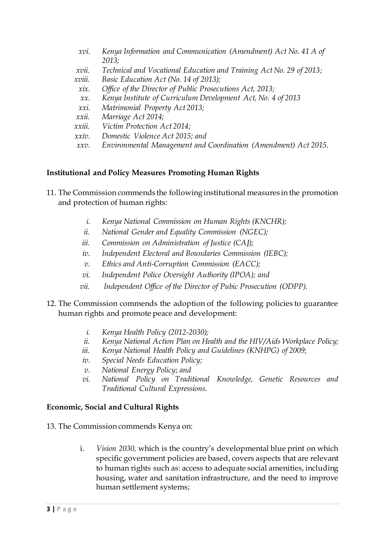| xvi.                 | Kenya Information and Communication (Amendment) Act No. 41 A of     |
|----------------------|---------------------------------------------------------------------|
|                      | 2013;                                                               |
| xvii.                | Technical and Vocational Education and Training Act No. 29 of 2013; |
| xviii.               | Basic Education Act (No. 14 of 2013);                               |
| xix.                 | Office of the Director of Public Prosecutions Act, 2013;            |
| $\chi\chi$ .         | Kenya Institute of Curriculum Development Act, No. 4 of 2013        |
| xxi.                 | Matrimonial Property Act 2013;                                      |
| $xxii$ .             | Marriage Act 2014;                                                  |
| xxiii.               | Victim Protection Act 2014;                                         |
| xxiv.                | Domestic Violence Act 2015; and                                     |
| $\chi\chi\upsilon$ . | Environmental Management and Coordination (Amendment) Act 2015.     |
|                      |                                                                     |

# **Institutional and Policy Measures Promoting Human Rights**

- 11. The Commission commends the following institutional measures in the promotion and protection of human rights:
	- *i. Kenya National Commission on Human Rights (KNCHR);*
	- *ii. National Gender and Equality Commission (NGEC);*
	- *iii. Commission on Administration of Justice (CAJ);*
	- *iv. Independent Electoral and Boundaries Commission (IEBC);*
	- *v. Ethics and Anti-Corruption Commission (EACC);*
	- *vi. Independent Police Oversight Authority (IPOA); and*
	- *vii. Independent Office of the Director of Pubic Prosecution (ODPP).*
- 12. The Commission commends the adoption of the following policies to guarantee human rights and promote peace and development:
	- *i. Kenya Health Policy (2012-2030);*
	- *ii. Kenya National Action Plan on Health and the HIV/Aids Workplace Policy;*
	- *iii. Kenya National Health Policy and Guidelines (KNHPG) of 2009;*
	- *iv. Special Needs Education Policy;*
	- *v. National Energy Policy*; *and*
	- *vi. National Policy on Traditional Knowledge, Genetic Resources and Traditional Cultural Expressions.*

# **Economic, Social and Cultural Rights**

13. The Commission commends Kenya on:

i. *Vision 2030,* which is the country's developmental blue print on which specific government policies are based, covers aspects that are relevant to human rights such as: access to adequate social amenities, including housing, water and sanitation infrastructure, and the need to improve human settlement systems;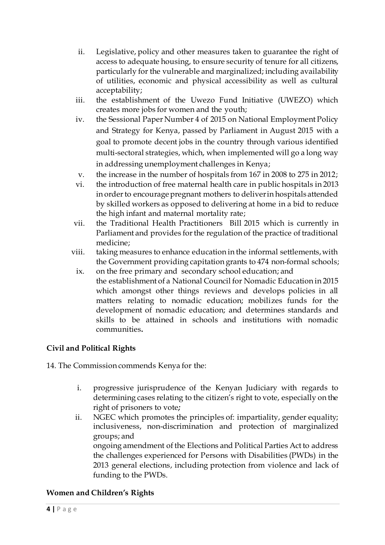- ii. Legislative, policy and other measures taken to guarantee the right of access to adequate housing, to ensure security of tenure for all citizens, particularly for the vulnerable and marginalized; including availability of utilities, economic and physical accessibility as well as cultural acceptability;
- iii. the establishment of the Uwezo Fund Initiative (UWEZO) which creates more jobs for women and the youth;
- iv. the Sessional Paper Number 4 of 2015 on National Employment Policy and Strategy for Kenya, passed by Parliament in August 2015 with a goal to promote decent jobs in the country through various identified multi-sectoral strategies, which, when implemented will go a long way in addressing unemployment challenges in Kenya;
- v. the increase in the number of hospitals from 167 in 2008 to 275 in 2012;
- vi. the introduction of free maternal health care in public hospitals in 2013 in order to encourage pregnant mothers to deliver in hospitals attended by skilled workers as opposed to delivering at home in a bid to reduce the high infant and maternal mortality rate;
- vii. the Traditional Health Practitioners Bill 2015 which is currently in Parliament and provides for the regulation of the practice of traditional medicine;
- viii. taking measures to enhance education in the informal settlements, with the Government providing capitation grants to 474 non-formal schools;
	- ix. on the free primary and secondary school education; and the establishment of a National Council for Nomadic Education in 2015 which amongst other things reviews and develops policies in all matters relating to nomadic education; mobilizes funds for the development of nomadic education; and determines standards and skills to be attained in schools and institutions with nomadic communities**.**

# **Civil and Political Rights**

14. The Commission commends Kenya for the:

funding to the PWDs.

- i. progressive jurisprudence of the Kenyan Judiciary with regards to determining cases relating to the citizen's right to vote, especially on the right of prisoners to vote*;*
- ii. NGEC which promotes the principles of: impartiality, gender equality; inclusiveness, non-discrimination and protection of marginalized groups; and ongoing amendment of the Elections and Political Parties Act to address the challenges experienced for Persons with Disabilities (PWDs) in the 2013 general elections, including protection from violence and lack of

# **Women and Children's Rights**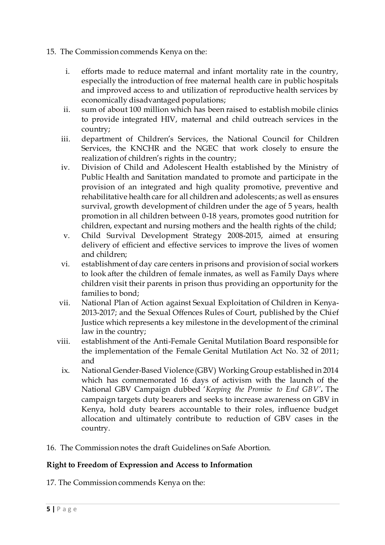- 15. The Commission commends Kenya on the:
	- i. efforts made to reduce maternal and infant mortality rate in the country, especially the introduction of free maternal health care in public hospitals and improved access to and utilization of reproductive health services by economically disadvantaged populations;
	- ii. sum of about 100 million which has been raised to establish mobile clinics to provide integrated HIV, maternal and child outreach services in the country;
	- iii. department of Children's Services, the National Council for Children Services, the KNCHR and the NGEC that work closely to ensure the realization of children's rights in the country;
	- iv. Division of Child and Adolescent Health established by the Ministry of Public Health and Sanitation mandated to promote and participate in the provision of an integrated and high quality promotive, preventive and rehabilitative health care for all children and adolescents; as well as ensures survival, growth development of children under the age of 5 years, health promotion in all children between 0-18 years, promotes good nutrition for children, expectant and nursing mothers and the health rights of the child;
	- v. Child Survival Development Strategy 2008-2015, aimed at ensuring delivery of efficient and effective services to improve the lives of women and children;
	- vi. establishment of day care centers in prisons and provision of social workers to look after the children of female inmates, as well as Family Days where children visit their parents in prison thus providing an opportunity for the families to bond;
	- vii. National Plan of Action against Sexual Exploitation of Children in Kenya-2013-2017; and the Sexual Offences Rules of Court, published by the Chief Justice which represents a key milestone in the development of the criminal law in the country;
	- viii. establishment of the Anti-Female Genital Mutilation Board responsible for the implementation of the Female Genital Mutilation Act No. 32 of 2011; and
		- ix. National Gender-Based Violence (GBV) Working Group established in 2014 which has commemorated 16 days of activism with the launch of the National GBV Campaign dubbed '*Keeping the Promise to End GBV'***.** The campaign targets duty bearers and seeks to increase awareness on GBV in Kenya, hold duty bearers accountable to their roles, influence budget allocation and ultimately contribute to reduction of GBV cases in the country.
- 16. The Commission notes the draft Guidelines on Safe Abortion.

# **Right to Freedom of Expression and Access to Information**

17. The Commission commends Kenya on the: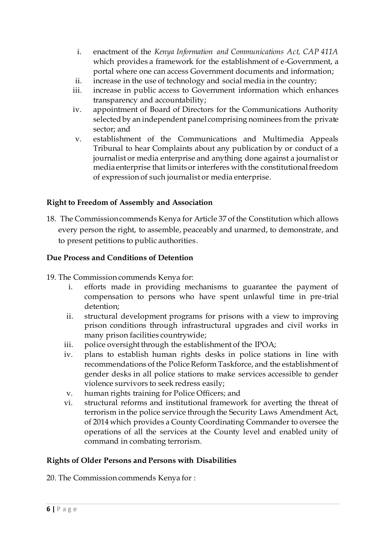- i. enactment of the *Kenya Information and Communications Act, CAP 411A* which provides a framework for the establishment of e-Government, a portal where one can access Government documents and information;
- ii. increase in the use of technology and social media in the country;
- iii. increase in public access to Government information which enhances transparency and accountability;
- iv. appointment of Board of Directors for the Communications Authority selected by an independent panel comprising nominees from the private sector; and
- v. establishment of the Communications and Multimedia Appeals Tribunal to hear Complaints about any publication by or conduct of a journalist or media enterprise and anything done against a journalist or media enterprise that limits or interferes with the constitutional freedom of expression of such journalist or media enterprise.

# **Right to Freedom of Assembly and Association**

18. The Commission commends Kenya for Article 37 of the Constitution which allows every person the right, to assemble, peaceably and unarmed, to demonstrate, and to present petitions to public authorities.

# **Due Process and Conditions of Detention**

- 19. The Commission commends Kenya for:
	- i. efforts made in providing mechanisms to guarantee the payment of compensation to persons who have spent unlawful time in pre-trial detention;
	- ii. structural development programs for prisons with a view to improving prison conditions through infrastructural upgrades and civil works in many prison facilities countrywide;
	- iii. police oversight through the establishment of the IPOA;
	- iv. plans to establish human rights desks in police stations in line with recommendations of the Police Reform Taskforce, and the establishment of gender desks in all police stations to make services accessible to gender violence survivors to seek redress easily;
	- v. human rights training for Police Officers; and
	- vi. structural reforms and institutional framework for averting the threat of terrorism in the police service through the Security Laws Amendment Act, of 2014 which provides a County Coordinating Commander to oversee the operations of all the services at the County level and enabled unity of command in combating terrorism.

# **Rights of Older Persons and Persons with Disabilities**

20. The Commission commends Kenya for :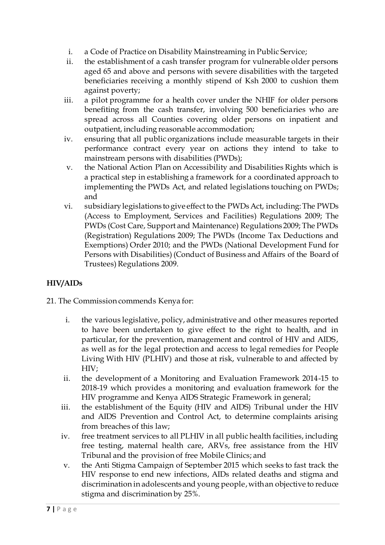- i. a Code of Practice on Disability Mainstreaming in Public Service;
- ii. the establishment of a cash transfer program for vulnerable older persons aged 65 and above and persons with severe disabilities with the targeted beneficiaries receiving a monthly stipend of Ksh 2000 to cushion them against poverty;
- iii. a pilot programme for a health cover under the NHIF for older persons benefiting from the cash transfer, involving 500 beneficiaries who are spread across all Counties covering older persons on inpatient and outpatient, including reasonable accommodation;
- iv. ensuring that all public organizations include measurable targets in their performance contract every year on actions they intend to take to mainstream persons with disabilities (PWDs);
- v. the National Action Plan on Accessibility and Disabilities Rights which is a practical step in establishing a framework for a coordinated approach to implementing the PWDs Act, and related legislations touching on PWDs; and
- vi. subsidiary legislations to give effect to the PWDs Act, including: The PWDs (Access to Employment, Services and Facilities) Regulations 2009; The PWDs (Cost Care, Support and Maintenance) Regulations 2009; The PWDs (Registration) Regulations 2009; The PWDs (Income Tax Deductions and Exemptions) Order 2010; and the PWDs (National Development Fund for Persons with Disabilities) (Conduct of Business and Affairs of the Board of Trustees) Regulations 2009.

# **HIV/AIDs**

21. The Commission commends Kenya for:

- i. the various legislative, policy, administrative and other measures reported to have been undertaken to give effect to the right to health, and in particular, for the prevention, management and control of HIV and AIDS, as well as for the legal protection and access to legal remedies for People Living With HIV (PLHIV) and those at risk, vulnerable to and affected by HIV;
- ii. the development of a Monitoring and Evaluation Framework 2014-15 to 2018-19 which provides a monitoring and evaluation framework for the HIV programme and Kenya AIDS Strategic Framework in general;
- iii. the establishment of the Equity (HIV and AIDS) Tribunal under the HIV and AIDS Prevention and Control Act, to determine complaints arising from breaches of this law;
- iv. free treatment services to all PLHIV in all public health facilities, including free testing, maternal health care, ARVs, free assistance from the HIV Tribunal and the provision of free Mobile Clinics; and
- v. the Anti Stigma Campaign of September 2015 which seeks to fast track the HIV response to end new infections, AIDs related deaths and stigma and discrimination in adolescents and young people, with an objective to reduce stigma and discrimination by 25%.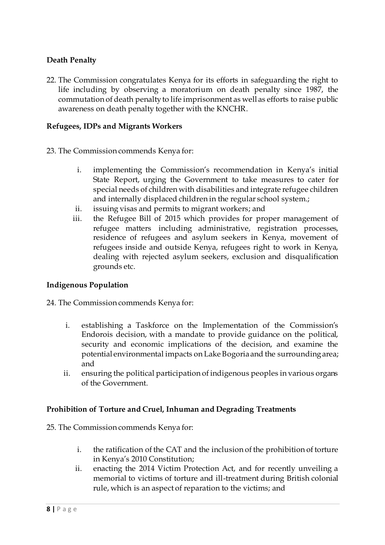# **Death Penalty**

22. The Commission congratulates Kenya for its efforts in safeguarding the right to life including by observing a moratorium on death penalty since 1987, the commutation of death penalty to life imprisonment as well as efforts to raise public awareness on death penalty together with the KNCHR.

## **Refugees, IDPs and Migrants Workers**

- 23. The Commission commends Kenya for:
	- i. implementing the Commission's recommendation in Kenya's initial State Report, urging the Government to take measures to cater for special needs of children with disabilities and integrate refugee children and internally displaced children in the regular school system.;
	- ii. issuing visas and permits to migrant workers; and
	- iii. the Refugee Bill of 2015 which provides for proper management of refugee matters including administrative, registration processes, residence of refugees and asylum seekers in Kenya, movement of refugees inside and outside Kenya, refugees right to work in Kenya, dealing with rejected asylum seekers, exclusion and disqualification grounds etc.

# **Indigenous Population**

24. The Commission commends Kenya for:

- i. establishing a Taskforce on the Implementation of the Commission's Endorois decision, with a mandate to provide guidance on the political, security and economic implications of the decision, and examine the potential environmental impacts on Lake Bogoria and the surrounding area; and
- ii. ensuring the political participation of indigenous peoples in various organs of the Government.

#### **Prohibition of Torture and Cruel, Inhuman and Degrading Treatments**

25. The Commission commends Kenya for:

- i. the ratification of the CAT and the inclusion of the prohibition of torture in Kenya's 2010 Constitution;
- ii. enacting the 2014 Victim Protection Act, and for recently unveiling a memorial to victims of torture and ill-treatment during British colonial rule, which is an aspect of reparation to the victims; and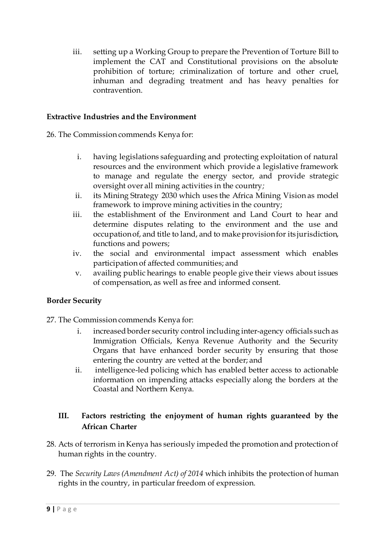iii. setting up a Working Group to prepare the Prevention of Torture Bill to implement the CAT and Constitutional provisions on the absolute prohibition of torture; criminalization of torture and other cruel, inhuman and degrading treatment and has heavy penalties for contravention.

## **Extractive Industries and the Environment**

26. The Commission commends Kenya for:

- i. having legislations safeguarding and protecting exploitation of natural resources and the environment which provide a legislative framework to manage and regulate the energy sector, and provide strategic oversight over all mining activities in the country*;*
- ii. its Mining Strategy 2030 which uses the Africa Mining Vision as model framework to improve mining activities in the country;
- iii. the establishment of the Environment and Land Court to hear and determine disputes relating to the environment and the use and occupation of, and title to land, and to make provision for its jurisdiction, functions and powers;
- iv. the social and environmental impact assessment which enables participation of affected communities; and
- v. availing public hearings to enable people give their views about issues of compensation, as well as free and informed consent.

# **Border Security**

# 27. The Commission commends Kenya for:

- i. increased border security control including inter-agency officials such as Immigration Officials, Kenya Revenue Authority and the Security Organs that have enhanced border security by ensuring that those entering the country are vetted at the border; and
- ii. intelligence-led policing which has enabled better access to actionable information on impending attacks especially along the borders at the Coastal and Northern Kenya.

# **III. Factors restricting the enjoyment of human rights guaranteed by the African Charter**

- 28. Acts of terrorism in Kenya has seriously impeded the promotion and protection of human rights in the country.
- 29. The *Security Laws (Amendment Act) of 2014* which inhibits the protection of human rights in the country, in particular freedom of expression.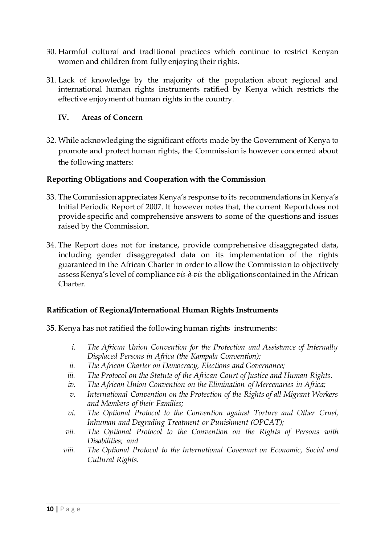- 30. Harmful cultural and traditional practices which continue to restrict Kenyan women and children from fully enjoying their rights.
- 31. Lack of knowledge by the majority of the population about regional and international human rights instruments ratified by Kenya which restricts the effective enjoyment of human rights in the country.

## **IV. Areas of Concern**

32. While acknowledging the significant efforts made by the Government of Kenya to promote and protect human rights, the Commission is however concerned about the following matters:

## **Reporting Obligations and Cooperation with the Commission**

- 33. The Commission appreciates Kenya's response to its recommendations in Kenya's Initial Periodic Report of 2007. It however notes that, the current Report does not provide specific and comprehensive answers to some of the questions and issues raised by the Commission.
- 34. The Report does not for instance, provide comprehensive disaggregated data, including gender disaggregated data on its implementation of the rights guaranteed in the African Charter in order to allow the Commission to objectively assess Kenya's level of compliance *vis-à-vis* the obligations contained in the African Charter.

#### **Ratification of Regional/International Human Rights Instruments**

- 35. Kenya has not ratified the following human rights instruments:
	- *i. The African Union Convention for the Protection and Assistance of Internally Displaced Persons in Africa (the Kampala Convention);*
	- *ii. The African Charter on Democracy, Elections and Governance;*
	- *iii. The Protocol on the Statute of the African Court of Justice and Human Rights*.
	- *iv. The African Union Convention on the Elimination of Mercenaries in Africa;*
	- *v. International Convention on the Protection of the Rights of all Migrant Workers and Members of their Families;*
	- *vi. The Optional Protocol to the Convention against Torture and Other Cruel, Inhuman and Degrading Treatment or Punishment (OPCAT);*
	- *vii. The Optional Protocol to the Convention on the Rights of Persons with Disabilities; and*
	- *viii. The Optional Protocol to the International Covenant on Economic, Social and Cultural Rights.*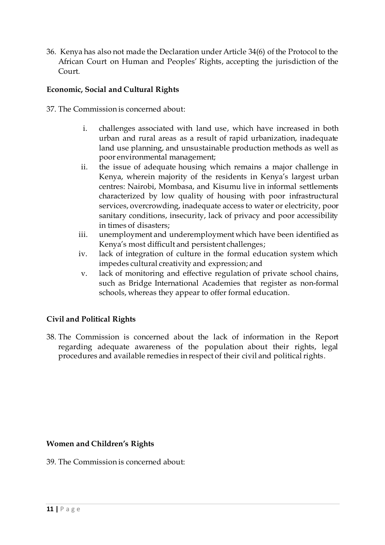36. Kenya has also not made the Declaration under Article 34(6) of the Protocol to the African Court on Human and Peoples' Rights, accepting the jurisdiction of the Court.

# **Economic, Social and Cultural Rights**

37. The Commission is concerned about:

- i. challenges associated with land use, which have increased in both urban and rural areas as a result of rapid urbanization, inadequate land use planning, and unsustainable production methods as well as poor environmental management;
- ii. the issue of adequate housing which remains a major challenge in Kenya, wherein majority of the residents in Kenya's largest urban centres: Nairobi, Mombasa, and Kisumu live in informal settlements characterized by low quality of housing with poor infrastructural services, overcrowding, inadequate access to water or electricity, poor sanitary conditions, insecurity, lack of privacy and poor accessibility in times of disasters;
- iii. unemployment and underemployment which have been identified as Kenya's most difficult and persistent challenges;
- iv. lack of integration of culture in the formal education system which impedes cultural creativity and expression; and
- v. lack of monitoring and effective regulation of private school chains, such as Bridge International Academies that register as non-formal schools, whereas they appear to offer formal education.

# **Civil and Political Rights**

38. The Commission is concerned about the lack of information in the Report regarding adequate awareness of the population about their rights, legal procedures and available remedies in respect of their civil and political rights.

#### **Women and Children's Rights**

39. The Commission is concerned about: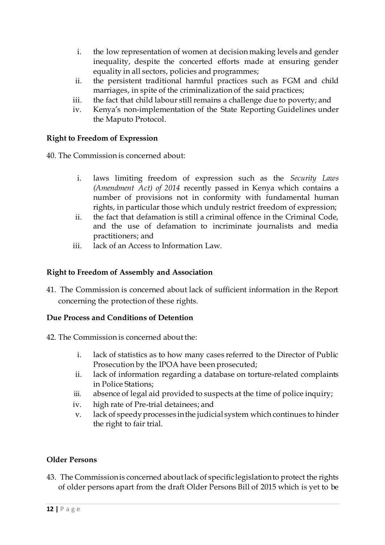- i. the low representation of women at decision making levels and gender inequality, despite the concerted efforts made at ensuring gender equality in all sectors, policies and programmes;
- ii. the persistent traditional harmful practices such as FGM and child marriages, in spite of the criminalization of the said practices;
- iii. the fact that child labour still remains a challenge due to poverty; and
- iv. Kenya's non-implementation of the State Reporting Guidelines under the Maputo Protocol.

# **Right to Freedom of Expression**

40. The Commission is concerned about:

- i. laws limiting freedom of expression such as the *Security Laws (Amendment Act) of 2014* recently passed in Kenya which contains a number of provisions not in conformity with fundamental human rights, in particular those which unduly restrict freedom of expression;
- ii. the fact that defamation is still a criminal offence in the Criminal Code, and the use of defamation to incriminate journalists and media practitioners; and
- iii. lack of an Access to Information Law.

# **Right to Freedom of Assembly and Association**

41. The Commission is concerned about lack of sufficient information in the Report concerning the protection of these rights.

# **Due Process and Conditions of Detention**

- 42. The Commission is concerned about the:
	- i. lack of statistics as to how many cases referred to the Director of Public Prosecution by the IPOA have been prosecuted;
	- ii. lack of information regarding a database on torture-related complaints in Police Stations;
	- iii. absence of legal aid provided to suspects at the time of police inquiry;
	- iv. high rate of Pre-trial detainees; and
	- v. lack of speedy processes in the judicial system which continues to hinder the right to fair trial.

# **Older Persons**

43. The Commission is concerned about lack of specific legislation to protect the rights of older persons apart from the draft Older Persons Bill of 2015 which is yet to be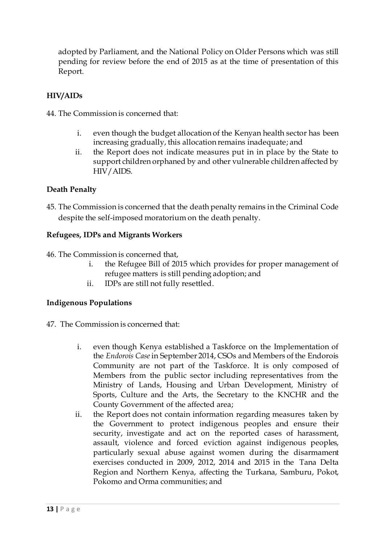adopted by Parliament, and the National Policy on Older Persons which was still pending for review before the end of 2015 as at the time of presentation of this Report.

# **HIV/AIDs**

44. The Commission is concerned that:

- i. even though the budget allocation of the Kenyan health sector has been increasing gradually, this allocation remains inadequate; and
- ii. the Report does not indicate measures put in in place by the State to support children orphaned by and other vulnerable children affected by HIV/AIDS.

# **Death Penalty**

45. The Commission is concerned that the death penalty remains in the Criminal Code despite the self-imposed moratorium on the death penalty.

# **Refugees, IDPs and Migrants Workers**

46. The Commission is concerned that,

- i. the Refugee Bill of 2015 which provides for proper management of refugee matters is still pending adoption; and
- ii. IDPs are still not fully resettled.

# **Indigenous Populations**

- 47. The Commission is concerned that:
	- i. even though Kenya established a Taskforce on the Implementation of the *Endorois Case*in September 2014, CSOs and Members of the Endorois Community are not part of the Taskforce. It is only composed of Members from the public sector including representatives from the Ministry of Lands, Housing and Urban Development, Ministry of Sports, Culture and the Arts, the Secretary to the KNCHR and the County Government of the affected area;
	- ii. the Report does not contain information regarding measures taken by the Government to protect indigenous peoples and ensure their security, investigate and act on the reported cases of harassment, assault, violence and forced eviction against indigenous peoples, particularly sexual abuse against women during the disarmament exercises conducted in 2009, 2012, 2014 and 2015 in the Tana Delta Region and Northern Kenya, affecting the Turkana, Samburu, Pokot, Pokomo and Orma communities; and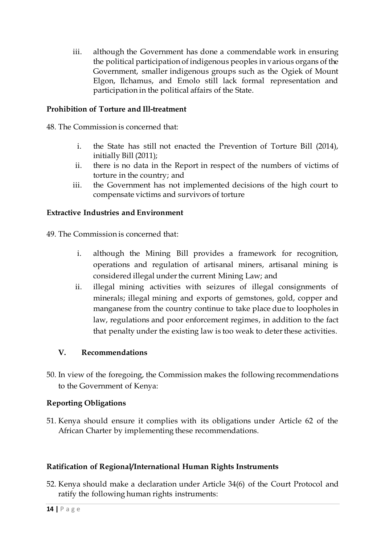iii. although the Government has done a commendable work in ensuring the political participation of indigenous peoples in various organs of the Government, smaller indigenous groups such as the Ogiek of Mount Elgon, Ilchamus, and Emolo still lack formal representation and participation in the political affairs of the State.

# **Prohibition of Torture and Ill-treatment**

48. The Commission is concerned that:

- i. the State has still not enacted the Prevention of Torture Bill (2014), initially Bill (2011);
- ii. there is no data in the Report in respect of the numbers of victims of torture in the country; and
- iii. the Government has not implemented decisions of the high court to compensate victims and survivors of torture

# **Extractive Industries and Environment**

49. The Commission is concerned that:

- i. although the Mining Bill provides a framework for recognition, operations and regulation of artisanal miners, artisanal mining is considered illegal under the current Mining Law; and
- ii. illegal mining activities with seizures of illegal consignments of minerals; illegal mining and exports of gemstones, gold, copper and manganese from the country continue to take place due to loopholes in law, regulations and poor enforcement regimes, in addition to the fact that penalty under the existing law is too weak to deter these activities.

# **V. Recommendations**

50. In view of the foregoing, the Commission makes the following recommendations to the Government of Kenya:

# **Reporting Obligations**

51. Kenya should ensure it complies with its obligations under Article 62 of the African Charter by implementing these recommendations.

# **Ratification of Regional/International Human Rights Instruments**

52. Kenya should make a declaration under Article 34(6) of the Court Protocol and ratify the following human rights instruments: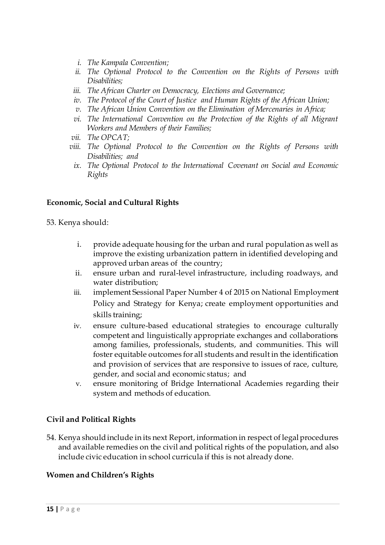- *i. The Kampala Convention;*
- *ii. The Optional Protocol to the Convention on the Rights of Persons with Disabilities;*
- *iii. The African Charter on Democracy, Elections and Governance;*
- *iv. The Protocol of the Court of Justice and Human Rights of the African Union;*
- *v. The African Union Convention on the Elimination of Mercenaries in Africa;*
- *vi. The International Convention on the Protection of the Rights of all Migrant Workers and Members of their Families;*
- *vii. The OPCAT;*
- *viii. The Optional Protocol to the Convention on the Rights of Persons with Disabilities; and*
	- *ix. The Optional Protocol to the International Covenant on Social and Economic Rights*

## **Economic, Social and Cultural Rights**

53. Kenya should:

- i. provide adequate housing for the urban and rural population as well as improve the existing urbanization pattern in identified developing and approved urban areas of the country;
- ii. ensure urban and rural-level infrastructure, including roadways, and water distribution;
- iii. implement Sessional Paper Number 4 of 2015 on National Employment Policy and Strategy for Kenya; create employment opportunities and skills training;
- iv. ensure culture-based educational strategies to encourage culturally competent and linguistically appropriate exchanges and collaborations among families, professionals, students, and communities. This will foster equitable outcomes for all students and result in the identification and provision of services that are responsive to issues of race, culture, gender, and social and economic status; and
- v. ensure monitoring of Bridge International Academies regarding their system and methods of education.

#### **Civil and Political Rights**

54. Kenya should include in its next Report, information in respect of legal procedures and available remedies on the civil and political rights of the population, and also include civic education in school curricula if this is not already done.

#### **Women and Children's Rights**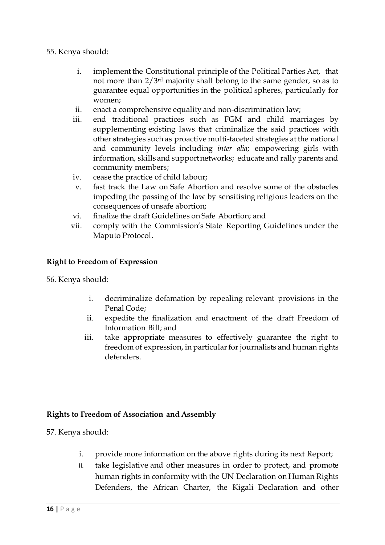## 55. Kenya should:

- i. implement the Constitutional principle of the Political Parties Act, that not more than 2/3rd majority shall belong to the same gender, so as to guarantee equal opportunities in the political spheres, particularly for women;
- ii. enact a comprehensive equality and non-discrimination law;
- iii. end traditional practices such as FGM and child marriages by supplementing existing laws that criminalize the said practices with other strategies such as proactive multi-faceted strategies at the national and community levels including *inter alia*; empowering girls with information, skills and support networks; educate and rally parents and community members;
- iv. cease the practice of child labour;
- v. fast track the Law on Safe Abortion and resolve some of the obstacles impeding the passing of the law by sensitising religious leaders on the consequences of unsafe abortion;
- vi. finalize the draft Guidelines on Safe Abortion; and
- vii. comply with the Commission's State Reporting Guidelines under the Maputo Protocol.

## **Right to Freedom of Expression**

56. Kenya should:

- i. decriminalize defamation by repealing relevant provisions in the Penal Code;
- ii. expedite the finalization and enactment of the draft Freedom of Information Bill; and
- iii. take appropriate measures to effectively guarantee the right to freedom of expression, in particular for journalists and human rights defenders.

# **Rights to Freedom of Association and Assembly**

57. Kenya should:

- i. provide more information on the above rights during its next Report;
- ii. take legislative and other measures in order to protect, and promote human rights in conformity with the UN Declaration on Human Rights Defenders, the African Charter, the Kigali Declaration and other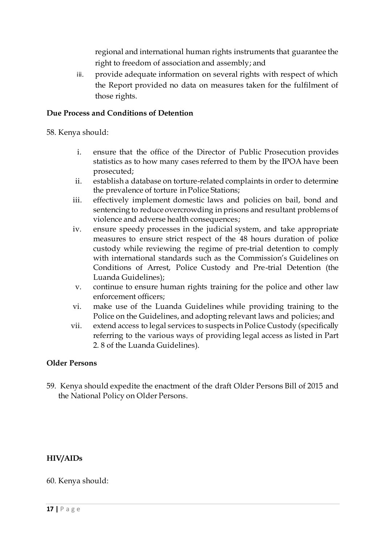regional and international human rights instruments that guarantee the right to freedom of association and assembly; and

iii. provide adequate information on several rights with respect of which the Report provided no data on measures taken for the fulfilment of those rights.

## **Due Process and Conditions of Detention**

58. Kenya should:

- i. ensure that the office of the Director of Public Prosecution provides statistics as to how many cases referred to them by the IPOA have been prosecuted;
- ii. establish a database on torture-related complaints in order to determine the prevalence of torture in Police Stations;
- iii. effectively implement domestic laws and policies on bail, bond and sentencing to reduce overcrowding in prisons and resultant problems of violence and adverse health consequences;
- iv. ensure speedy processes in the judicial system, and take appropriate measures to ensure strict respect of the 48 hours duration of police custody while reviewing the regime of pre-trial detention to comply with international standards such as the Commission's Guidelines on Conditions of Arrest, Police Custody and Pre-trial Detention (the Luanda Guidelines);
- v. continue to ensure human rights training for the police and other law enforcement officers;
- vi. make use of the Luanda Guidelines while providing training to the Police on the Guidelines, and adopting relevant laws and policies; and
- vii. extend access to legal services to suspects in Police Custody (specifically referring to the various ways of providing legal access as listed in Part 2. 8 of the Luanda Guidelines).

#### **Older Persons**

59. Kenya should expedite the enactment of the draft Older Persons Bill of 2015 and the National Policy on Older Persons.

# **HIV/AIDs**

60. Kenya should: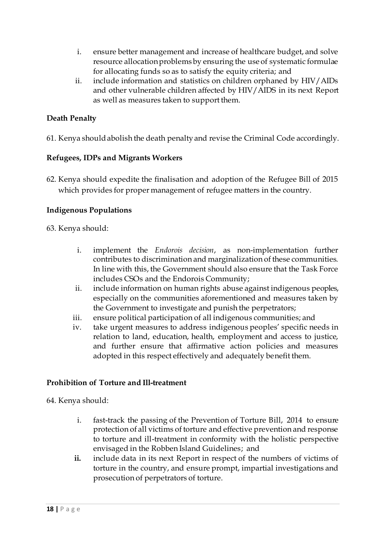- i. ensure better management and increase of healthcare budget, and solve resource allocation problems by ensuring the use of systematic formulae for allocating funds so as to satisfy the equity criteria; and
- ii. include information and statistics on children orphaned by HIV/AIDs and other vulnerable children affected by HIV/AIDS in its next Report as well as measures taken to support them.

# **Death Penalty**

61. Kenya should abolish the death penalty and revise the Criminal Code accordingly.

# **Refugees, IDPs and Migrants Workers**

62. Kenya should expedite the finalisation and adoption of the Refugee Bill of 2015 which provides for proper management of refugee matters in the country.

# **Indigenous Populations**

63. Kenya should:

- i. implement the *Endorois decision*, as non-implementation further contributes to discrimination and marginalization of these communities. In line with this, the Government should also ensure that the Task Force includes CSOs and the Endorois Community;
- ii. include information on human rights abuse against indigenous peoples, especially on the communities aforementioned and measures taken by the Government to investigate and punish the perpetrators;
- iii. ensure political participation of all indigenous communities; and
- iv. take urgent measures to address indigenous peoples' specific needs in relation to land, education, health, employment and access to justice, and further ensure that affirmative action policies and measures adopted in this respect effectively and adequately benefit them.

# **Prohibition of Torture and Ill-treatment**

64. Kenya should:

- i. fast-track the passing of the Prevention of Torture Bill, 2014 to ensure protection of all victims of torture and effective prevention and response to torture and ill-treatment in conformity with the holistic perspective envisaged in the Robben Island Guidelines; and
- **ii.** include data in its next Report in respect of the numbers of victims of torture in the country, and ensure prompt, impartial investigations and prosecution of perpetrators of torture.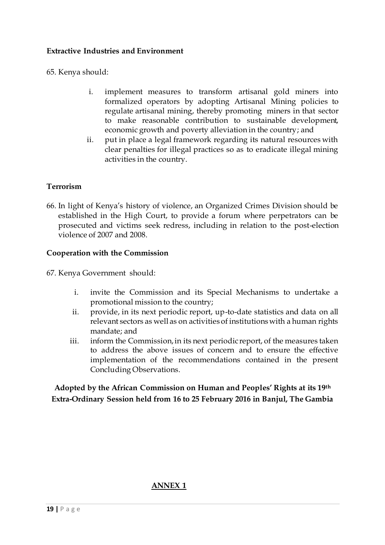## **Extractive Industries and Environment**

65. Kenya should:

- i. implement measures to transform artisanal gold miners into formalized operators by adopting Artisanal Mining policies to regulate artisanal mining, thereby promoting miners in that sector to make reasonable contribution to sustainable development, economic growth and poverty alleviation in the country; and
- ii. put in place a legal framework regarding its natural resources with clear penalties for illegal practices so as to eradicate illegal mining activities in the country.

## **Terrorism**

66. In light of Kenya's history of violence, an Organized Crimes Division should be established in the High Court, to provide a forum where perpetrators can be prosecuted and victims seek redress, including in relation to the post-election violence of 2007 and 2008.

#### **Cooperation with the Commission**

67. Kenya Government should:

- i. invite the Commission and its Special Mechanisms to undertake a promotional mission to the country;
- ii. provide, in its next periodic report, up-to-date statistics and data on all relevant sectors as well as on activities of institutions with a human rights mandate; and
- iii. inform the Commission, in its next periodic report, of the measures taken to address the above issues of concern and to ensure the effective implementation of the recommendations contained in the present Concluding Observations.

**Adopted by the African Commission on Human and Peoples' Rights at its 19th Extra-Ordinary Session held from 16 to 25 February 2016 in Banjul, The Gambia**

# **ANNEX 1**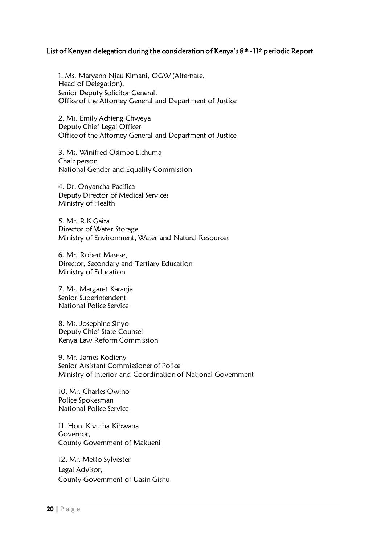#### List of Kenyan delegation during the consideration of Kenya's 8<sup>th</sup> -11<sup>th</sup> periodic Report

1. Ms. Maryann Njau Kimani, OGW (Alternate, Head of Delegation), Senior Deputy Solicitor General. Office of the Attorney General and Department of Justice

2. Ms. Emily Achieng Chweya Deputy Chief Legal Officer Office of the Attorney General and Department of Justice

3. Ms. Winifred Osimbo Lichuma Chair person National Gender and Equality Commission

4. Dr. Onyancha Pacifica Deputy Director of Medical Services Ministry of Health

5. Mr. R.K Gaita Director of Water Storage Ministry of Environment, Water and Natural Resources

6. Mr. Robert Masese, Director, Secondary and Tertiary Education Ministry of Education

7. Ms. Margaret Karanja Senior Superintendent National Police Service

8. Ms. Josephine Sinyo Deputy Chief State Counsel Kenya Law Reform Commission

9. Mr. James Kodieny Senior Assistant Commissioner of Police Ministry of Interior and Coordination of National Government

10. Mr. Charles Owino Police Spokesman National Police Service

11. Hon. Kivutha Kibwana Governor, County Government of Makueni

12. Mr. Metto Sylvester Legal Advisor, County Government of Uasin Gishu